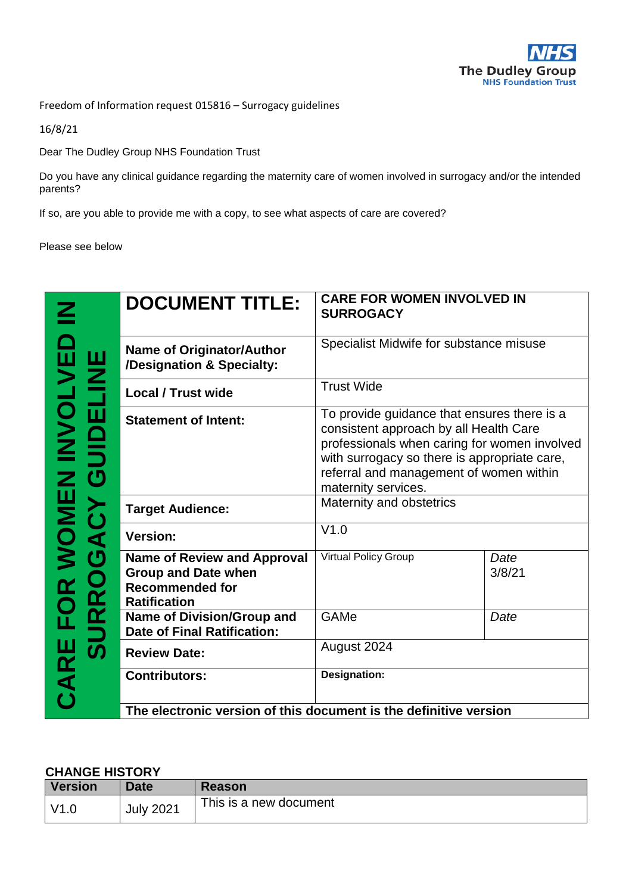

Freedom of Information request 015816 – Surrogacy guidelines

16/8/21

Dear The Dudley Group NHS Foundation Trust

Do you have any clinical guidance regarding the maternity care of women involved in surrogacy and/or the intended parents?

If so, are you able to provide me with a copy, to see what aspects of care are covered?

Please see below

|                                        | <b>DOCUMENT TITLE:</b>                                                                                            | <b>CARE FOR WOMEN INVOLVED IN</b><br><b>SURROGACY</b>                                                                                                                                                                                                   |                |  |
|----------------------------------------|-------------------------------------------------------------------------------------------------------------------|---------------------------------------------------------------------------------------------------------------------------------------------------------------------------------------------------------------------------------------------------------|----------------|--|
| <b>TIAE</b><br>TIME                    | <b>Name of Originator/Author</b><br>/Designation & Specialty:                                                     | Specialist Midwife for substance misuse                                                                                                                                                                                                                 |                |  |
|                                        | <b>Local / Trust wide</b>                                                                                         | <b>Trust Wide</b>                                                                                                                                                                                                                                       |                |  |
| 一面<br><b>OMEN INVOI<br/>ACY GUIDEL</b> | <b>Statement of Intent:</b>                                                                                       | To provide guidance that ensures there is a<br>consistent approach by all Health Care<br>professionals when caring for women involved<br>with surrogacy so there is appropriate care,<br>referral and management of women within<br>maternity services. |                |  |
|                                        | <b>Target Audience:</b>                                                                                           | Maternity and obstetrics                                                                                                                                                                                                                                |                |  |
| $\bar{\textbf{A}}$                     | <b>Version:</b>                                                                                                   | V1.0                                                                                                                                                                                                                                                    |                |  |
| $\boldsymbol{\sigma}$<br>URRO          | <b>Name of Review and Approval</b><br><b>Group and Date when</b><br><b>Recommended for</b><br><b>Ratification</b> | <b>Virtual Policy Group</b>                                                                                                                                                                                                                             | Date<br>3/8/21 |  |
|                                        | Name of Division/Group and<br><b>Date of Final Ratification:</b>                                                  | GAMe                                                                                                                                                                                                                                                    | Date           |  |
| $\boldsymbol{\bar{\bm{v}}}$            | <b>Review Date:</b>                                                                                               | August 2024                                                                                                                                                                                                                                             |                |  |
| CARE I                                 | <b>Contributors:</b>                                                                                              | Designation:                                                                                                                                                                                                                                            |                |  |
|                                        | The electronic version of this document is the definitive version                                                 |                                                                                                                                                                                                                                                         |                |  |

#### **CHANGE HISTORY**

| Version | <b>Date</b>      | <b>Reason</b>          |
|---------|------------------|------------------------|
| V1.0    | <b>July 2021</b> | This is a new document |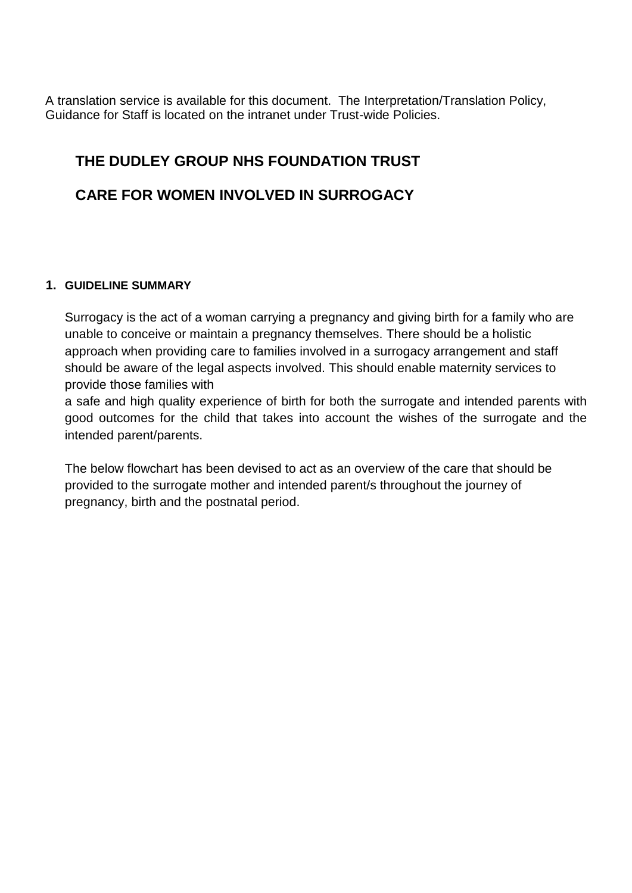A translation service is available for this document. The Interpretation/Translation Policy, Guidance for Staff is located on the intranet under Trust-wide Policies.

### **THE DUDLEY GROUP NHS FOUNDATION TRUST**

### **CARE FOR WOMEN INVOLVED IN SURROGACY**

#### **1. GUIDELINE SUMMARY**

Surrogacy is the act of a woman carrying a pregnancy and giving birth for a family who are unable to conceive or maintain a pregnancy themselves. There should be a holistic approach when providing care to families involved in a surrogacy arrangement and staff should be aware of the legal aspects involved. This should enable maternity services to provide those families with

a safe and high quality experience of birth for both the surrogate and intended parents with good outcomes for the child that takes into account the wishes of the surrogate and the intended parent/parents.

The below flowchart has been devised to act as an overview of the care that should be provided to the surrogate mother and intended parent/s throughout the journey of pregnancy, birth and the postnatal period.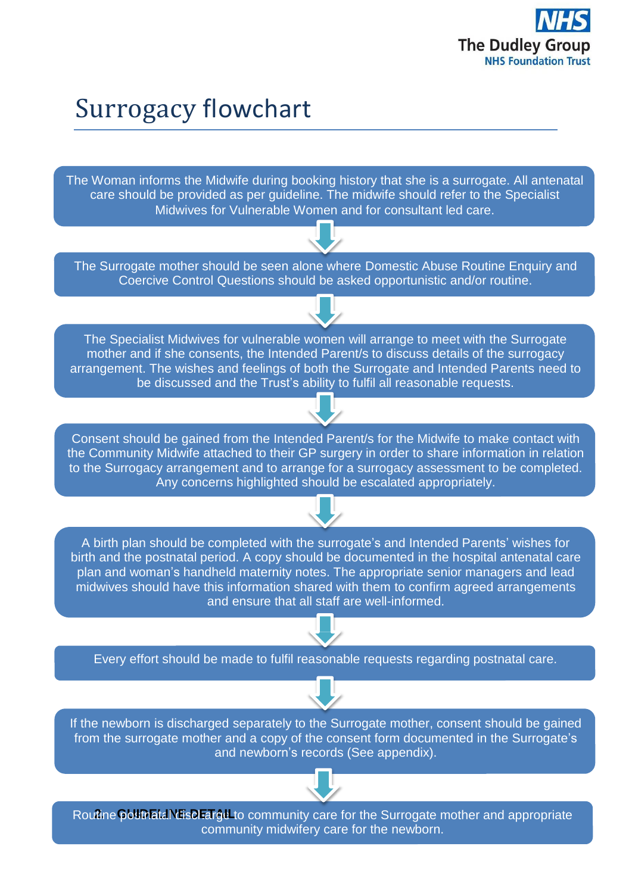

# Surrogacy flowchart

The Woman informs the Midwife during booking history that she is a surrogate. All antenatal care should be provided as per guideline. The midwife should refer to the Specialist Midwives for Vulnerable Women and for consultant led care.

The Surrogate mother should be seen alone where Domestic Abuse Routine Enquiry and Coercive Control Questions should be asked opportunistic and/or routine.

The Specialist Midwives for vulnerable women will arrange to meet with the Surrogate mother and if she consents, the Intended Parent/s to discuss details of the surrogacy arrangement. The wishes and feelings of both the Surrogate and Intended Parents need to be discussed and the Trust's ability to fulfil all reasonable requests.

Consent should be gained from the Intended Parent/s for the Midwife to make contact with the Community Midwife attached to their GP surgery in order to share information in relation to the Surrogacy arrangement and to arrange for a surrogacy assessment to be completed. Any concerns highlighted should be escalated appropriately.

A birth plan should be completed with the surrogate's and Intended Parents' wishes for birth and the postnatal period. A copy should be documented in the hospital antenatal care plan and woman's handheld maternity notes. The appropriate senior managers and lead midwives should have this information shared with them to confirm agreed arrangements and ensure that all staff are well-informed.

Every effort should be made to fulfil reasonable requests regarding postnatal care.



If the newborn is discharged separately to the Surrogate mother, consent should be gained from the surrogate mother and a copy of the consent form documented in the Surrogate's and newborn's records (See appendix).



Rou**2**ti**.**ne**G**p**U**os**ID**tn**E**a**L**ta**IN**l d**E**is**D**ch**E**a**T**r**A**ge**IL**to community care for the Surrogate mother and appropriate community midwifery care for the newborn.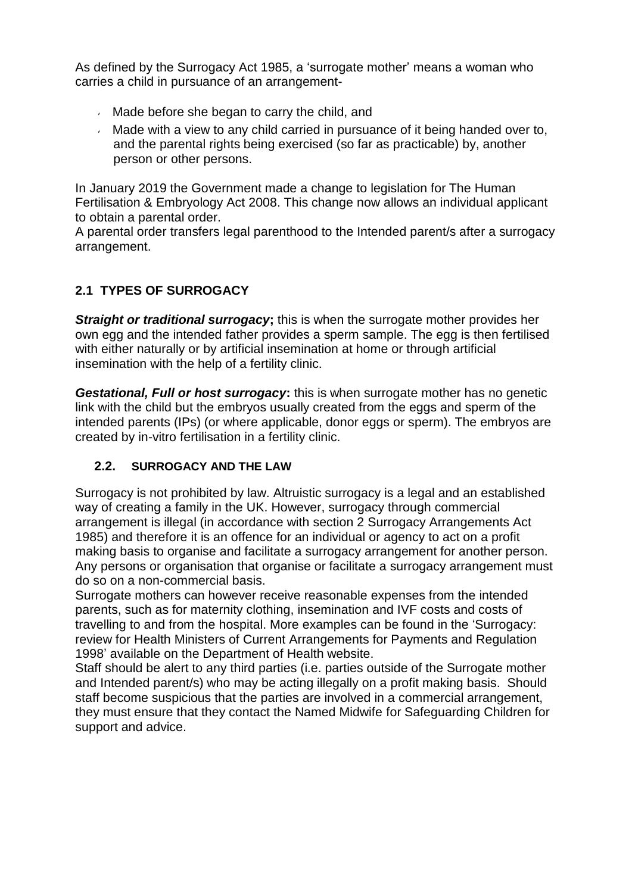As defined by the Surrogacy Act 1985, a 'surrogate mother' means a woman who carries a child in pursuance of an arrangement-

- Made before she began to carry the child, and
- $\sim$  Made with a view to any child carried in pursuance of it being handed over to, and the parental rights being exercised (so far as practicable) by, another person or other persons.

In January 2019 the Government made a change to legislation for The Human Fertilisation & Embryology Act 2008. This change now allows an individual applicant to obtain a parental order.

A parental order transfers legal parenthood to the Intended parent/s after a surrogacy arrangement.

### **2.1 TYPES OF SURROGACY**

*Straight or traditional surrogacy***;** this is when the surrogate mother provides her own egg and the intended father provides a sperm sample. The egg is then fertilised with either naturally or by artificial insemination at home or through artificial insemination with the help of a fertility clinic.

*Gestational, Full or host surrogacy***:** this is when surrogate mother has no genetic link with the child but the embryos usually created from the eggs and sperm of the intended parents (IPs) (or where applicable, donor eggs or sperm). The embryos are created by in-vitro fertilisation in a fertility clinic.

### **2.2. SURROGACY AND THE LAW**

Surrogacy is not prohibited by law. Altruistic surrogacy is a legal and an established way of creating a family in the UK. However, surrogacy through commercial arrangement is illegal (in accordance with section 2 Surrogacy Arrangements Act 1985) and therefore it is an offence for an individual or agency to act on a profit making basis to organise and facilitate a surrogacy arrangement for another person. Any persons or organisation that organise or facilitate a surrogacy arrangement must do so on a non-commercial basis.

Surrogate mothers can however receive reasonable expenses from the intended parents, such as for maternity clothing, insemination and IVF costs and costs of travelling to and from the hospital. More examples can be found in the 'Surrogacy: review for Health Ministers of Current Arrangements for Payments and Regulation 1998' available on the Department of Health website.

Staff should be alert to any third parties (i.e. parties outside of the Surrogate mother and Intended parent/s) who may be acting illegally on a profit making basis. Should staff become suspicious that the parties are involved in a commercial arrangement, they must ensure that they contact the Named Midwife for Safeguarding Children for support and advice.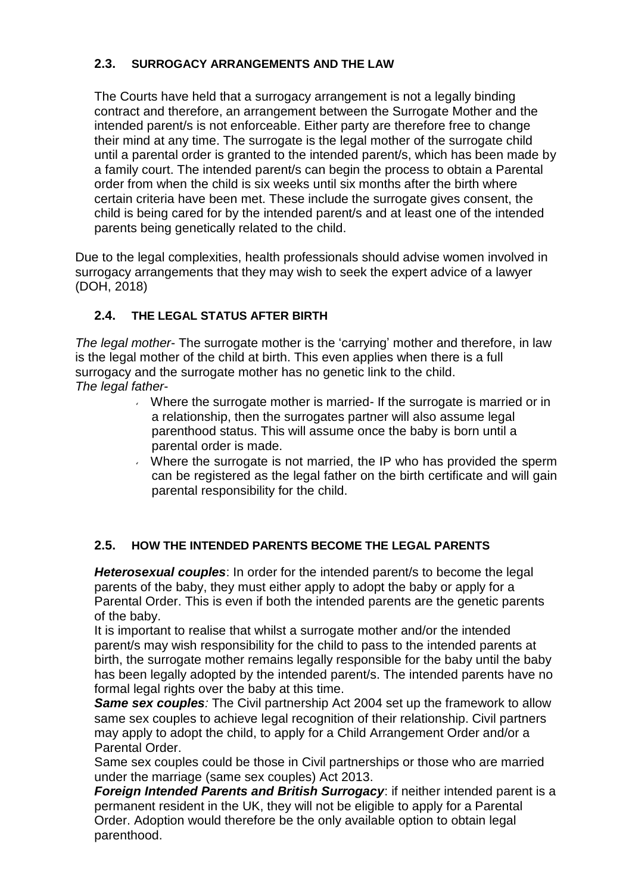#### **2.3. SURROGACY ARRANGEMENTS AND THE LAW**

The Courts have held that a surrogacy arrangement is not a legally binding contract and therefore, an arrangement between the Surrogate Mother and the intended parent/s is not enforceable. Either party are therefore free to change their mind at any time. The surrogate is the legal mother of the surrogate child until a parental order is granted to the intended parent/s, which has been made by a family court. The intended parent/s can begin the process to obtain a Parental order from when the child is six weeks until six months after the birth where certain criteria have been met. These include the surrogate gives consent, the child is being cared for by the intended parent/s and at least one of the intended parents being genetically related to the child.

Due to the legal complexities, health professionals should advise women involved in surrogacy arrangements that they may wish to seek the expert advice of a lawyer (DOH, 2018)

#### **2.4. THE LEGAL STATUS AFTER BIRTH**

*The legal mother*- The surrogate mother is the 'carrying' mother and therefore, in law is the legal mother of the child at birth. This even applies when there is a full surrogacy and the surrogate mother has no genetic link to the child. *The legal father*-

- Where the surrogate mother is married- If the surrogate is married or in a relationship, then the surrogates partner will also assume legal parenthood status. This will assume once the baby is born until a parental order is made.
- Where the surrogate is not married, the IP who has provided the sperm can be registered as the legal father on the birth certificate and will gain parental responsibility for the child.

#### **2.5. HOW THE INTENDED PARENTS BECOME THE LEGAL PARENTS**

*Heterosexual couples*: In order for the intended parent/s to become the legal parents of the baby, they must either apply to adopt the baby or apply for a Parental Order. This is even if both the intended parents are the genetic parents of the baby.

It is important to realise that whilst a surrogate mother and/or the intended parent/s may wish responsibility for the child to pass to the intended parents at birth, the surrogate mother remains legally responsible for the baby until the baby has been legally adopted by the intended parent/s. The intended parents have no formal legal rights over the baby at this time.

*Same sex couples:* The Civil partnership Act 2004 set up the framework to allow same sex couples to achieve legal recognition of their relationship. Civil partners may apply to adopt the child, to apply for a Child Arrangement Order and/or a Parental Order.

Same sex couples could be those in Civil partnerships or those who are married under the marriage (same sex couples) Act 2013.

*Foreign Intended Parents and British Surrogacy*: if neither intended parent is a permanent resident in the UK, they will not be eligible to apply for a Parental Order. Adoption would therefore be the only available option to obtain legal parenthood.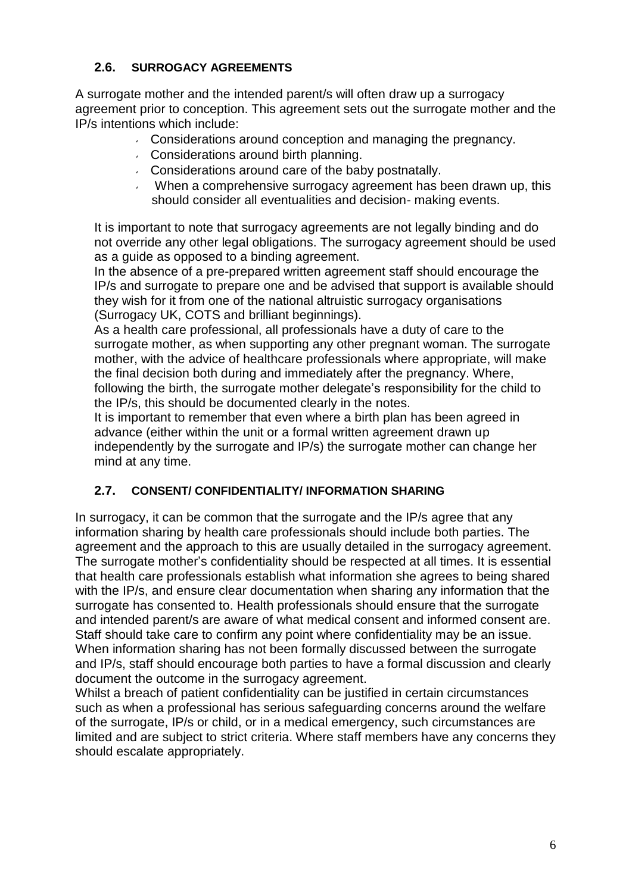#### **2.6. SURROGACY AGREEMENTS**

A surrogate mother and the intended parent/s will often draw up a surrogacy agreement prior to conception. This agreement sets out the surrogate mother and the IP/s intentions which include:

- Considerations around conception and managing the pregnancy.
- Considerations around birth planning.
- Considerations around care of the baby postnatally.
- When a comprehensive surrogacy agreement has been drawn up, this should consider all eventualities and decision- making events.

It is important to note that surrogacy agreements are not legally binding and do not override any other legal obligations. The surrogacy agreement should be used as a guide as opposed to a binding agreement.

In the absence of a pre-prepared written agreement staff should encourage the IP/s and surrogate to prepare one and be advised that support is available should they wish for it from one of the national altruistic surrogacy organisations (Surrogacy UK, COTS and brilliant beginnings).

As a health care professional, all professionals have a duty of care to the surrogate mother, as when supporting any other pregnant woman. The surrogate mother, with the advice of healthcare professionals where appropriate, will make the final decision both during and immediately after the pregnancy. Where, following the birth, the surrogate mother delegate's responsibility for the child to the IP/s, this should be documented clearly in the notes.

It is important to remember that even where a birth plan has been agreed in advance (either within the unit or a formal written agreement drawn up independently by the surrogate and IP/s) the surrogate mother can change her mind at any time.

#### **2.7. CONSENT/ CONFIDENTIALITY/ INFORMATION SHARING**

In surrogacy, it can be common that the surrogate and the IP/s agree that any information sharing by health care professionals should include both parties. The agreement and the approach to this are usually detailed in the surrogacy agreement. The surrogate mother's confidentiality should be respected at all times. It is essential that health care professionals establish what information she agrees to being shared with the IP/s, and ensure clear documentation when sharing any information that the surrogate has consented to. Health professionals should ensure that the surrogate and intended parent/s are aware of what medical consent and informed consent are. Staff should take care to confirm any point where confidentiality may be an issue. When information sharing has not been formally discussed between the surrogate and IP/s, staff should encourage both parties to have a formal discussion and clearly document the outcome in the surrogacy agreement.

Whilst a breach of patient confidentiality can be justified in certain circumstances such as when a professional has serious safeguarding concerns around the welfare of the surrogate, IP/s or child, or in a medical emergency, such circumstances are limited and are subject to strict criteria. Where staff members have any concerns they should escalate appropriately.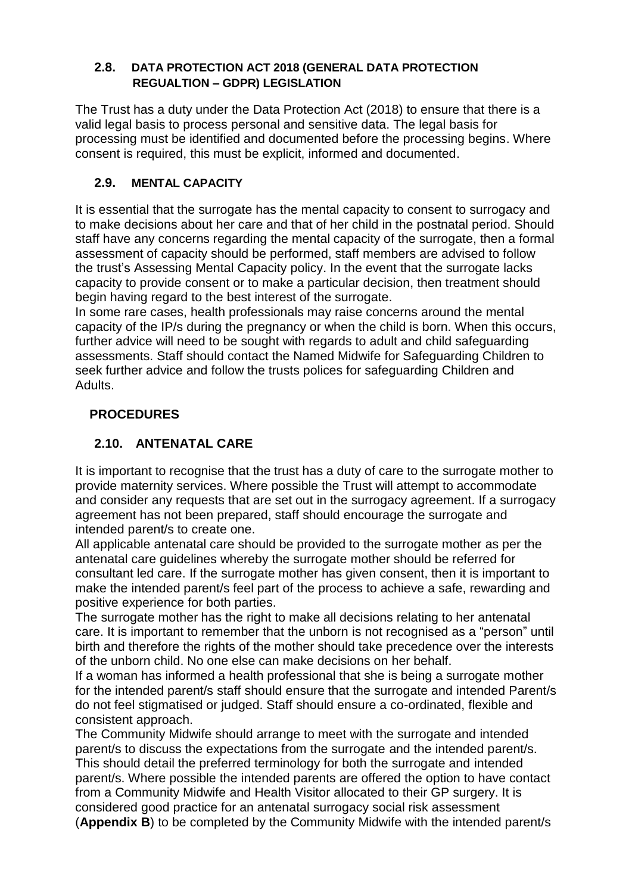#### **2.8. DATA PROTECTION ACT 2018 (GENERAL DATA PROTECTION REGUALTION – GDPR) LEGISLATION**

The Trust has a duty under the Data Protection Act (2018) to ensure that there is a valid legal basis to process personal and sensitive data. The legal basis for processing must be identified and documented before the processing begins. Where consent is required, this must be explicit, informed and documented.

#### **2.9. MENTAL CAPACITY**

It is essential that the surrogate has the mental capacity to consent to surrogacy and to make decisions about her care and that of her child in the postnatal period. Should staff have any concerns regarding the mental capacity of the surrogate, then a formal assessment of capacity should be performed, staff members are advised to follow the trust's Assessing Mental Capacity policy. In the event that the surrogate lacks capacity to provide consent or to make a particular decision, then treatment should begin having regard to the best interest of the surrogate.

In some rare cases, health professionals may raise concerns around the mental capacity of the IP/s during the pregnancy or when the child is born. When this occurs, further advice will need to be sought with regards to adult and child safeguarding assessments. Staff should contact the Named Midwife for Safeguarding Children to seek further advice and follow the trusts polices for safeguarding Children and Adults.

### **PROCEDURES**

### **2.10. ANTENATAL CARE**

It is important to recognise that the trust has a duty of care to the surrogate mother to provide maternity services. Where possible the Trust will attempt to accommodate and consider any requests that are set out in the surrogacy agreement. If a surrogacy agreement has not been prepared, staff should encourage the surrogate and intended parent/s to create one.

All applicable antenatal care should be provided to the surrogate mother as per the antenatal care guidelines whereby the surrogate mother should be referred for consultant led care. If the surrogate mother has given consent, then it is important to make the intended parent/s feel part of the process to achieve a safe, rewarding and positive experience for both parties.

The surrogate mother has the right to make all decisions relating to her antenatal care. It is important to remember that the unborn is not recognised as a "person" until birth and therefore the rights of the mother should take precedence over the interests of the unborn child. No one else can make decisions on her behalf.

If a woman has informed a health professional that she is being a surrogate mother for the intended parent/s staff should ensure that the surrogate and intended Parent/s do not feel stigmatised or judged. Staff should ensure a co-ordinated, flexible and consistent approach.

The Community Midwife should arrange to meet with the surrogate and intended parent/s to discuss the expectations from the surrogate and the intended parent/s. This should detail the preferred terminology for both the surrogate and intended parent/s. Where possible the intended parents are offered the option to have contact from a Community Midwife and Health Visitor allocated to their GP surgery. It is considered good practice for an antenatal surrogacy social risk assessment (**Appendix B**) to be completed by the Community Midwife with the intended parent/s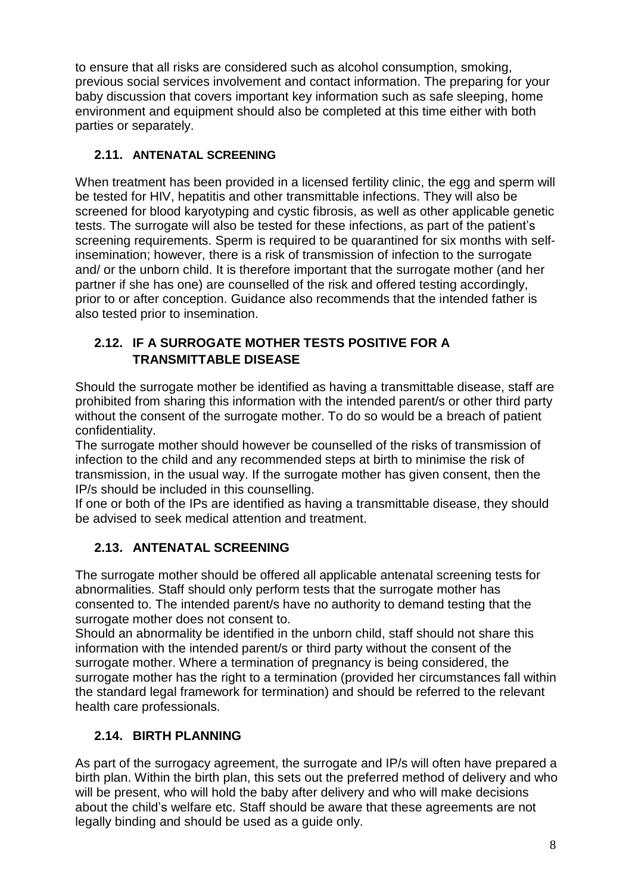to ensure that all risks are considered such as alcohol consumption, smoking, previous social services involvement and contact information. The preparing for your baby discussion that covers important key information such as safe sleeping, home environment and equipment should also be completed at this time either with both parties or separately.

#### **2.11. ANTENATAL SCREENING**

When treatment has been provided in a licensed fertility clinic, the egg and sperm will be tested for HIV, hepatitis and other transmittable infections. They will also be screened for blood karyotyping and cystic fibrosis, as well as other applicable genetic tests. The surrogate will also be tested for these infections, as part of the patient's screening requirements. Sperm is required to be quarantined for six months with selfinsemination; however, there is a risk of transmission of infection to the surrogate and/ or the unborn child. It is therefore important that the surrogate mother (and her partner if she has one) are counselled of the risk and offered testing accordingly, prior to or after conception. Guidance also recommends that the intended father is also tested prior to insemination.

### **2.12. IF A SURROGATE MOTHER TESTS POSITIVE FOR A TRANSMITTABLE DISEASE**

Should the surrogate mother be identified as having a transmittable disease, staff are prohibited from sharing this information with the intended parent/s or other third party without the consent of the surrogate mother. To do so would be a breach of patient confidentiality.

The surrogate mother should however be counselled of the risks of transmission of infection to the child and any recommended steps at birth to minimise the risk of transmission, in the usual way. If the surrogate mother has given consent, then the IP/s should be included in this counselling.

If one or both of the IPs are identified as having a transmittable disease, they should be advised to seek medical attention and treatment.

### **2.13. ANTENATAL SCREENING**

The surrogate mother should be offered all applicable antenatal screening tests for abnormalities. Staff should only perform tests that the surrogate mother has consented to. The intended parent/s have no authority to demand testing that the surrogate mother does not consent to.

Should an abnormality be identified in the unborn child, staff should not share this information with the intended parent/s or third party without the consent of the surrogate mother. Where a termination of pregnancy is being considered, the surrogate mother has the right to a termination (provided her circumstances fall within the standard legal framework for termination) and should be referred to the relevant health care professionals.

### **2.14. BIRTH PLANNING**

As part of the surrogacy agreement, the surrogate and IP/s will often have prepared a birth plan. Within the birth plan, this sets out the preferred method of delivery and who will be present, who will hold the baby after delivery and who will make decisions about the child's welfare etc. Staff should be aware that these agreements are not legally binding and should be used as a guide only.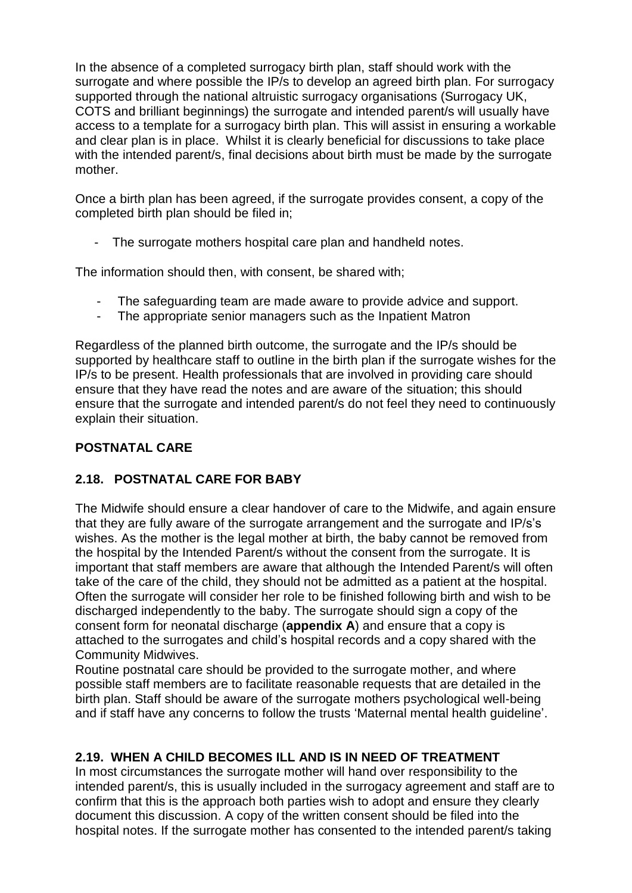In the absence of a completed surrogacy birth plan, staff should work with the surrogate and where possible the IP/s to develop an agreed birth plan. For surrogacy supported through the national altruistic surrogacy organisations (Surrogacy UK, COTS and brilliant beginnings) the surrogate and intended parent/s will usually have access to a template for a surrogacy birth plan. This will assist in ensuring a workable and clear plan is in place. Whilst it is clearly beneficial for discussions to take place with the intended parent/s, final decisions about birth must be made by the surrogate mother.

Once a birth plan has been agreed, if the surrogate provides consent, a copy of the completed birth plan should be filed in;

- The surrogate mothers hospital care plan and handheld notes.

The information should then, with consent, be shared with;

- The safeguarding team are made aware to provide advice and support.
- The appropriate senior managers such as the Inpatient Matron

Regardless of the planned birth outcome, the surrogate and the IP/s should be supported by healthcare staff to outline in the birth plan if the surrogate wishes for the IP/s to be present. Health professionals that are involved in providing care should ensure that they have read the notes and are aware of the situation; this should ensure that the surrogate and intended parent/s do not feel they need to continuously explain their situation.

### **POSTNATAL CARE**

#### **2.18. POSTNATAL CARE FOR BABY**

The Midwife should ensure a clear handover of care to the Midwife, and again ensure that they are fully aware of the surrogate arrangement and the surrogate and IP/s's wishes. As the mother is the legal mother at birth, the baby cannot be removed from the hospital by the Intended Parent/s without the consent from the surrogate. It is important that staff members are aware that although the Intended Parent/s will often take of the care of the child, they should not be admitted as a patient at the hospital. Often the surrogate will consider her role to be finished following birth and wish to be discharged independently to the baby. The surrogate should sign a copy of the consent form for neonatal discharge (**appendix A**) and ensure that a copy is attached to the surrogates and child's hospital records and a copy shared with the Community Midwives.

Routine postnatal care should be provided to the surrogate mother, and where possible staff members are to facilitate reasonable requests that are detailed in the birth plan. Staff should be aware of the surrogate mothers psychological well-being and if staff have any concerns to follow the trusts 'Maternal mental health guideline'.

#### **2.19. WHEN A CHILD BECOMES ILL AND IS IN NEED OF TREATMENT**

In most circumstances the surrogate mother will hand over responsibility to the intended parent/s, this is usually included in the surrogacy agreement and staff are to confirm that this is the approach both parties wish to adopt and ensure they clearly document this discussion. A copy of the written consent should be filed into the hospital notes. If the surrogate mother has consented to the intended parent/s taking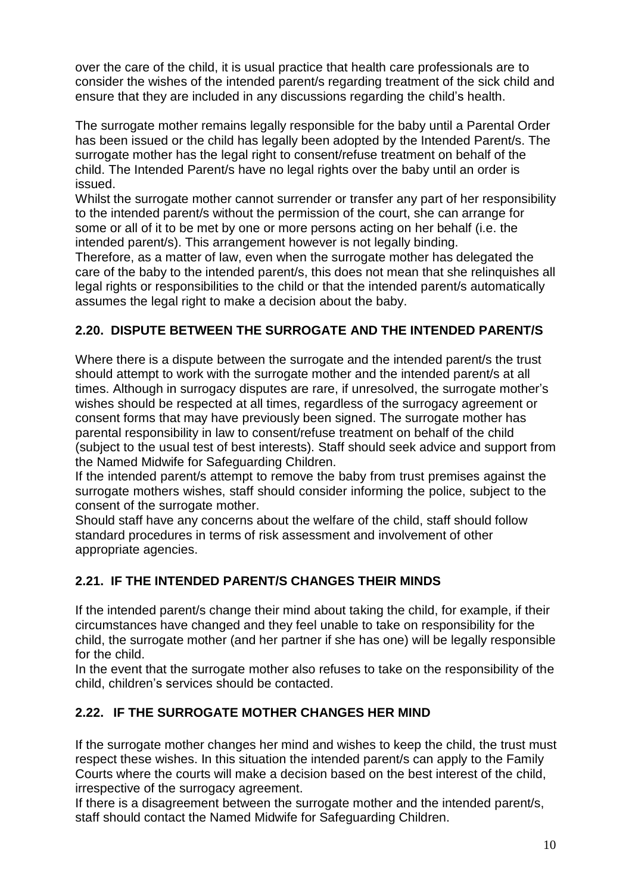over the care of the child, it is usual practice that health care professionals are to consider the wishes of the intended parent/s regarding treatment of the sick child and ensure that they are included in any discussions regarding the child's health.

The surrogate mother remains legally responsible for the baby until a Parental Order has been issued or the child has legally been adopted by the Intended Parent/s. The surrogate mother has the legal right to consent/refuse treatment on behalf of the child. The Intended Parent/s have no legal rights over the baby until an order is issued.

Whilst the surrogate mother cannot surrender or transfer any part of her responsibility to the intended parent/s without the permission of the court, she can arrange for some or all of it to be met by one or more persons acting on her behalf (i.e. the intended parent/s). This arrangement however is not legally binding.

Therefore, as a matter of law, even when the surrogate mother has delegated the care of the baby to the intended parent/s, this does not mean that she relinquishes all legal rights or responsibilities to the child or that the intended parent/s automatically assumes the legal right to make a decision about the baby.

### **2.20. DISPUTE BETWEEN THE SURROGATE AND THE INTENDED PARENT/S**

Where there is a dispute between the surrogate and the intended parent/s the trust should attempt to work with the surrogate mother and the intended parent/s at all times. Although in surrogacy disputes are rare, if unresolved, the surrogate mother's wishes should be respected at all times, regardless of the surrogacy agreement or consent forms that may have previously been signed. The surrogate mother has parental responsibility in law to consent/refuse treatment on behalf of the child (subject to the usual test of best interests). Staff should seek advice and support from the Named Midwife for Safeguarding Children.

If the intended parent/s attempt to remove the baby from trust premises against the surrogate mothers wishes, staff should consider informing the police, subject to the consent of the surrogate mother.

Should staff have any concerns about the welfare of the child, staff should follow standard procedures in terms of risk assessment and involvement of other appropriate agencies.

### **2.21. IF THE INTENDED PARENT/S CHANGES THEIR MINDS**

If the intended parent/s change their mind about taking the child, for example, if their circumstances have changed and they feel unable to take on responsibility for the child, the surrogate mother (and her partner if she has one) will be legally responsible for the child.

In the event that the surrogate mother also refuses to take on the responsibility of the child, children's services should be contacted.

### **2.22. IF THE SURROGATE MOTHER CHANGES HER MIND**

If the surrogate mother changes her mind and wishes to keep the child, the trust must respect these wishes. In this situation the intended parent/s can apply to the Family Courts where the courts will make a decision based on the best interest of the child, irrespective of the surrogacy agreement.

If there is a disagreement between the surrogate mother and the intended parent/s, staff should contact the Named Midwife for Safeguarding Children.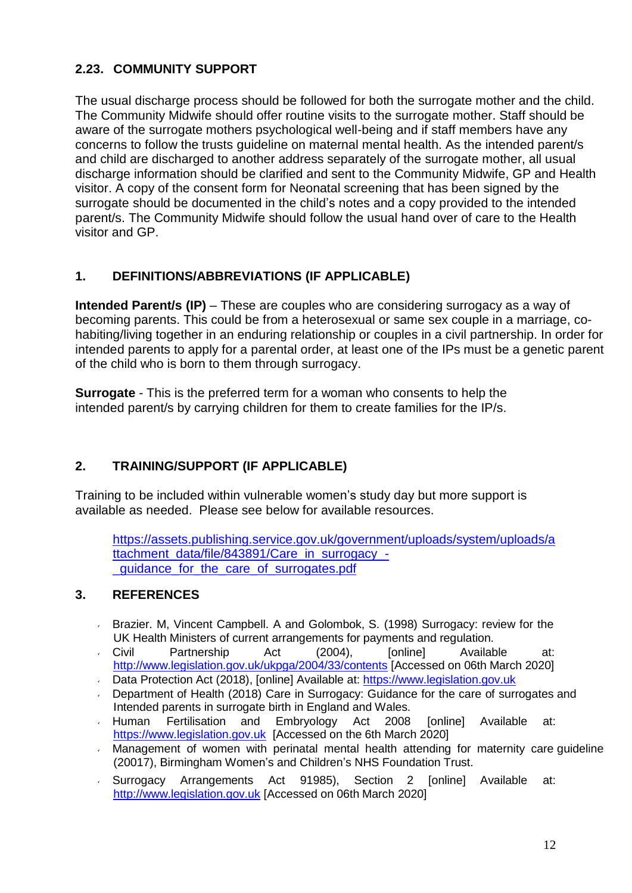### **2.23. COMMUNITY SUPPORT**

The usual discharge process should be followed for both the surrogate mother and the child. The Community Midwife should offer routine visits to the surrogate mother. Staff should be aware of the surrogate mothers psychological well-being and if staff members have any concerns to follow the trusts guideline on maternal mental health. As the intended parent/s and child are discharged to another address separately of the surrogate mother, all usual discharge information should be clarified and sent to the Community Midwife, GP and Health visitor. A copy of the consent form for Neonatal screening that has been signed by the surrogate should be documented in the child's notes and a copy provided to the intended parent/s. The Community Midwife should follow the usual hand over of care to the Health visitor and GP.

### **1. DEFINITIONS/ABBREVIATIONS (IF APPLICABLE)**

**Intended Parent/s (IP)** – These are couples who are considering surrogacy as a way of becoming parents. This could be from a heterosexual or same sex couple in a marriage, cohabiting/living together in an enduring relationship or couples in a civil partnership. In order for intended parents to apply for a parental order, at least one of the IPs must be a genetic parent of the child who is born to them through surrogacy.

**Surrogate** - This is the preferred term for a woman who consents to help the intended parent/s by carrying children for them to create families for the IP/s.

### **2. TRAINING/SUPPORT (IF APPLICABLE)**

Training to be included within vulnerable women's study day but more support is available as needed. Please see below for available resources.

[https://assets.publishing.service.gov.uk/government/uploads/system/uploads/a](https://assets.publishing.service.gov.uk/government/uploads/system/uploads/attachment_data/file/843891/Care_in_surrogacy_-_guidance_for_the_care_of_surrogates.pdf) [ttachment\\_data/file/843891/Care\\_in\\_surrogacy\\_-](https://assets.publishing.service.gov.uk/government/uploads/system/uploads/attachment_data/file/843891/Care_in_surrogacy_-_guidance_for_the_care_of_surrogates.pdf) [\\_guidance\\_for\\_the\\_care\\_of\\_surrogates.pdf](https://assets.publishing.service.gov.uk/government/uploads/system/uploads/attachment_data/file/843891/Care_in_surrogacy_-_guidance_for_the_care_of_surrogates.pdf)

### **3. REFERENCES**

- Brazier. M, Vincent Campbell. A and Golombok, S. (1998) Surrogacy: review for the  $\mathbf{z}^{(i)}$ UK Health Ministers of current arrangements for payments and regulation.
- Civil Partnership Act (2004), [online] Available at: <http://www.legislation.gov.uk/ukpga/2004/33/contents> [Accessed on 06th March 2020]
- Data Protection Act (2018), [online] Available at: [https://www.legislation.gov.uk](https://www.legislation.gov.uk/)  $\mathbf{v}^{(i)}$
- Department of Health (2018) Care in Surrogacy: Guidance for the care of surrogates and Intended parents in surrogate birth in England and Wales.
- Human Fertilisation and Embryology Act 2008 [online] Available at: [https://www.legislation.gov.uk](https://www.legislation.gov.uk/) [Accessed on the 6th March 2020]
- Management of women with perinatal mental health attending for maternity care guideline  $\mathbf{v}^{(i)}$ (20017), Birmingham Women's and Children's NHS Foundation Trust.
- Surrogacy Arrangements Act 91985), Section 2 [online] Available at:  $\epsilon$ [http://www.legislation.gov.uk](http://www.legislation.gov.uk/ukpga/1985/49) [Accessed on 06th March 2020]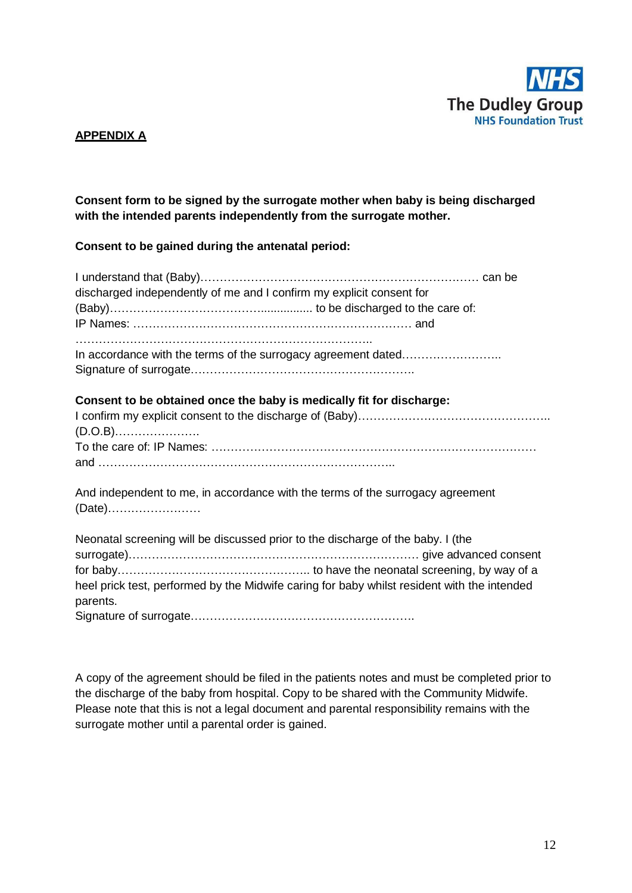

#### **APPENDIX A**

#### **Consent form to be signed by the surrogate mother when baby is being discharged with the intended parents independently from the surrogate mother.**

**Consent to be gained during the antenatal period:**

| discharged independently of me and I confirm my explicit consent for                                                                                                           |  |
|--------------------------------------------------------------------------------------------------------------------------------------------------------------------------------|--|
|                                                                                                                                                                                |  |
|                                                                                                                                                                                |  |
| In accordance with the terms of the surrogacy agreement dated                                                                                                                  |  |
| Consent to be obtained once the baby is medically fit for discharge:                                                                                                           |  |
|                                                                                                                                                                                |  |
| And independent to me, in accordance with the terms of the surrogacy agreement                                                                                                 |  |
| Neonatal screening will be discussed prior to the discharge of the baby. I (the<br>heel prick test, performed by the Midwife caring for baby whilst resident with the intended |  |
| parents.<br>Sianature of curroaste                                                                                                                                             |  |

Signature of surrogate………………………………………………….

A copy of the agreement should be filed in the patients notes and must be completed prior to the discharge of the baby from hospital. Copy to be shared with the Community Midwife. Please note that this is not a legal document and parental responsibility remains with the surrogate mother until a parental order is gained.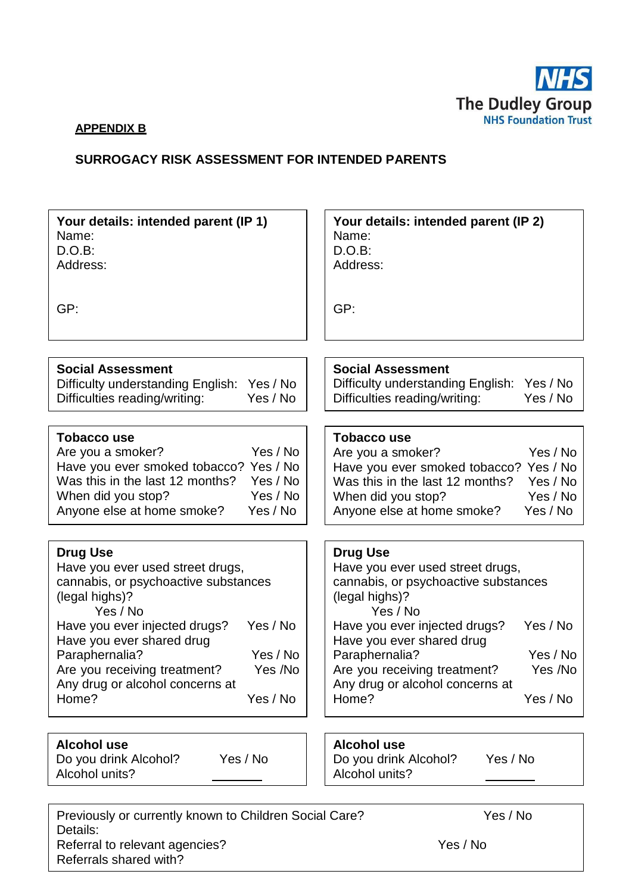

#### **APPENDIX B**

#### **SURROGACY RISK ASSESSMENT FOR INTENDED PARENTS**

| Your details: intended parent (IP 1)   | Your details: intended parent (IP 2)   |
|----------------------------------------|----------------------------------------|
| Name:                                  | Name:                                  |
| $D.O.B$ :                              | D.O.B:                                 |
| Address:                               | Address:                               |
| GP:                                    | GP:                                    |
| <b>Social Assessment</b>               | <b>Social Assessment</b>               |
| Difficulty understanding English:      | Difficulty understanding English:      |
| Yes / No                               | Yes / No                               |
| Difficulties reading/writing:          | Difficulties reading/writing:          |
| Yes / No                               | Yes / No                               |
| <b>Tobacco use</b>                     | <b>Tobacco use</b>                     |
| Yes / No                               | Yes / No                               |
| Are you a smoker?                      | Are you a smoker?                      |
| Have you ever smoked tobacco? Yes / No | Have you ever smoked tobacco? Yes / No |
| Was this in the last 12 months?        | Was this in the last 12 months?        |
| Yes / No                               | Yes / No                               |
| When did you stop?                     | When did you stop?                     |
| Yes / No                               | Yes / No                               |
| Anyone else at home smoke?             | Anyone else at home smoke?             |
| Yes / No                               | Yes / No                               |
| <b>Drug Use</b>                        | <b>Drug Use</b>                        |
| Have you ever used street drugs,       | Have you ever used street drugs,       |
| cannabis, or psychoactive substances   | cannabis, or psychoactive substances   |
| (legal highs)?                         | (legal highs)?                         |
| Yes / No                               | Yes / No                               |
| Yes / No                               | Yes / No                               |
| Have you ever injected drugs?          | Have you ever injected drugs?          |
| Have you ever shared drug              | Have you ever shared drug              |
| Paraphernalia?                         | Paraphernalia?                         |
| Yes / No                               | Yes / No                               |
| Yes /No                                | Yes /No                                |
| Are you receiving treatment?           | Are you receiving treatment?           |
| Any drug or alcohol concerns at        | Any drug or alcohol concerns at        |
| Home?                                  | Home?                                  |
| Yes / No                               | Yes / No                               |
| <b>Alcohol use</b>                     | <b>Alcohol use</b>                     |
| Yes / No                               | Yes / No                               |
| Do you drink Alcohol?                  | Do you drink Alcohol?                  |
| Alcohol units?                         | Alcohol units?                         |

Previously or currently known to Children Social Care? Yes / No Details: Referral to relevant agencies? The research of the Yes / No Referrals shared with?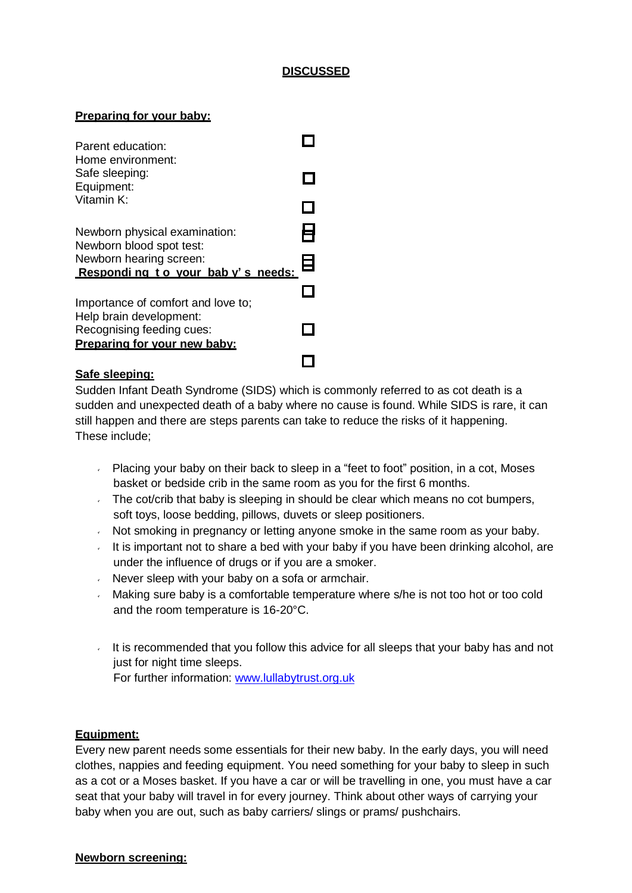#### **DISCUSSED**

#### **Preparing for your baby:**

| Parent education:<br>Home environment:                                               |  |
|--------------------------------------------------------------------------------------|--|
| Safe sleeping:<br>Equipment:                                                         |  |
| Vitamin K:                                                                           |  |
| Newborn physical examination:<br>Newborn blood spot test:                            |  |
| Newborn hearing screen:<br>Responding to your baby's needs:                          |  |
| Importance of comfort and love to;                                                   |  |
| Help brain development:<br>Recognising feeding cues:<br>Preparing for your new baby: |  |
|                                                                                      |  |

#### **Safe sleeping:**

Sudden Infant Death Syndrome (SIDS) which is commonly referred to as cot death is a sudden and unexpected death of a baby where no cause is found. While SIDS is rare, it can still happen and there are steps parents can take to reduce the risks of it happening. These include;

- Placing your baby on their back to sleep in a "feet to foot" position, in a cot, Moses basket or bedside crib in the same room as you for the first 6 months.
- The cot/crib that baby is sleeping in should be clear which means no cot bumpers, soft toys, loose bedding, pillows, duvets or sleep positioners.
- $\sim$  Not smoking in pregnancy or letting anyone smoke in the same room as your baby.
- It is important not to share a bed with your baby if you have been drinking alcohol, are under the influence of drugs or if you are a smoker.
- $\sqrt{ }$  Never sleep with your baby on a sofa or armchair.
- Making sure baby is a comfortable temperature where s/he is not too hot or too cold and the room temperature is 16-20°C.
- It is recommended that you follow this advice for all sleeps that your baby has and not just for night time sleeps. For further information: [www.lullabytrust.org.uk](http://www.lullabytrust.org.uk/)

#### **Equipment:**

Every new parent needs some essentials for their new baby. In the early days, you will need clothes, nappies and feeding equipment. You need something for your baby to sleep in such as a cot or a Moses basket. If you have a car or will be travelling in one, you must have a car seat that your baby will travel in for every journey. Think about other ways of carrying your baby when you are out, such as baby carriers/ slings or prams/ pushchairs.

#### **Newborn screening:**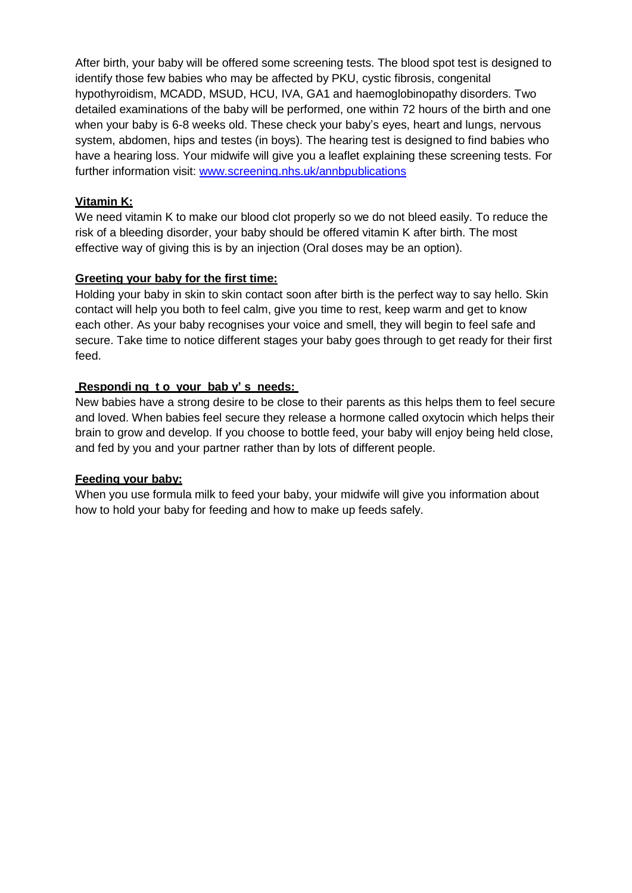After birth, your baby will be offered some screening tests. The blood spot test is designed to identify those few babies who may be affected by PKU, cystic fibrosis, congenital hypothyroidism, MCADD, MSUD, HCU, IVA, GA1 and haemoglobinopathy disorders. Two detailed examinations of the baby will be performed, one within 72 hours of the birth and one when your baby is 6-8 weeks old. These check your baby's eyes, heart and lungs, nervous system, abdomen, hips and testes (in boys). The hearing test is designed to find babies who have a hearing loss. Your midwife will give you a leaflet explaining these screening tests. For further information visit: [www.screening.nhs.uk/annbpublications](http://www.screening.nhs.uk/annbpublications)

#### **Vitamin K:**

We need vitamin K to make our blood clot properly so we do not bleed easily. To reduce the risk of a bleeding disorder, your baby should be offered vitamin K after birth. The most effective way of giving this is by an injection (Oral doses may be an option).

#### **Greeting your baby for the first time:**

Holding your baby in skin to skin contact soon after birth is the perfect way to say hello. Skin contact will help you both to feel calm, give you time to rest, keep warm and get to know each other. As your baby recognises your voice and smell, they will begin to feel safe and secure. Take time to notice different stages your baby goes through to get ready for their first feed.

#### **Respondi ng t o your bab y' s needs:**

New babies have a strong desire to be close to their parents as this helps them to feel secure and loved. When babies feel secure they release a hormone called oxytocin which helps their brain to grow and develop. If you choose to bottle feed, your baby will enjoy being held close, and fed by you and your partner rather than by lots of different people.

#### **Feeding your baby:**

When you use formula milk to feed your baby, your midwife will give you information about how to hold your baby for feeding and how to make up feeds safely.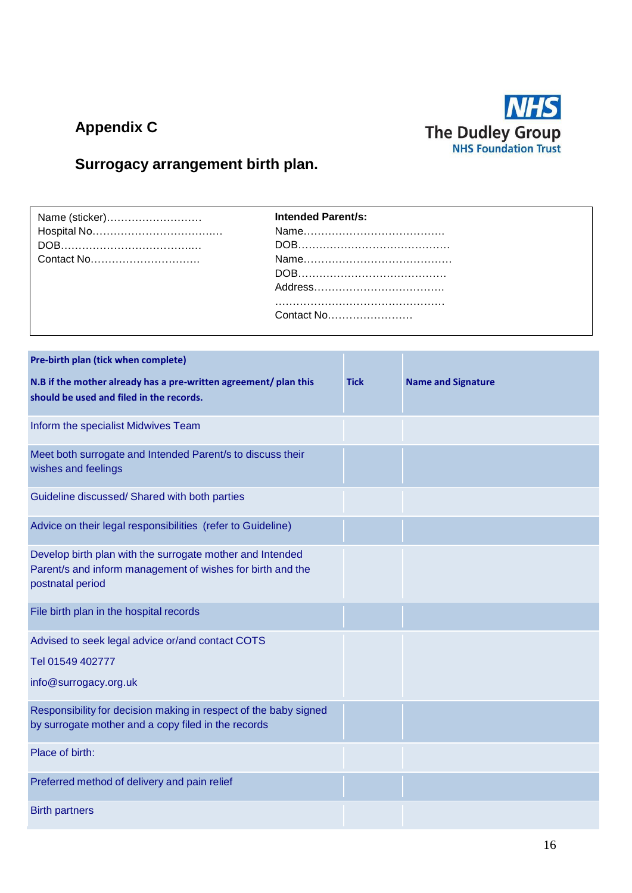# **Appendix C**



## **Surrogacy arrangement birth plan.**

| <b>Intended Parent/s:</b> |
|---------------------------|
|                           |
|                           |
|                           |
|                           |
|                           |
|                           |
| Contact No                |

| Pre-birth plan (tick when complete)                                                                                                         |             |                           |
|---------------------------------------------------------------------------------------------------------------------------------------------|-------------|---------------------------|
| N.B if the mother already has a pre-written agreement/ plan this<br>should be used and filed in the records.                                | <b>Tick</b> | <b>Name and Signature</b> |
| Inform the specialist Midwives Team                                                                                                         |             |                           |
| Meet both surrogate and Intended Parent/s to discuss their<br>wishes and feelings                                                           |             |                           |
| Guideline discussed/ Shared with both parties                                                                                               |             |                           |
| Advice on their legal responsibilities (refer to Guideline)                                                                                 |             |                           |
| Develop birth plan with the surrogate mother and Intended<br>Parent/s and inform management of wishes for birth and the<br>postnatal period |             |                           |
| File birth plan in the hospital records                                                                                                     |             |                           |
| Advised to seek legal advice or/and contact COTS                                                                                            |             |                           |
| Tel 01549 402777                                                                                                                            |             |                           |
| info@surrogacy.org.uk                                                                                                                       |             |                           |
| Responsibility for decision making in respect of the baby signed<br>by surrogate mother and a copy filed in the records                     |             |                           |
| Place of birth:                                                                                                                             |             |                           |
| Preferred method of delivery and pain relief                                                                                                |             |                           |
| <b>Birth partners</b>                                                                                                                       |             |                           |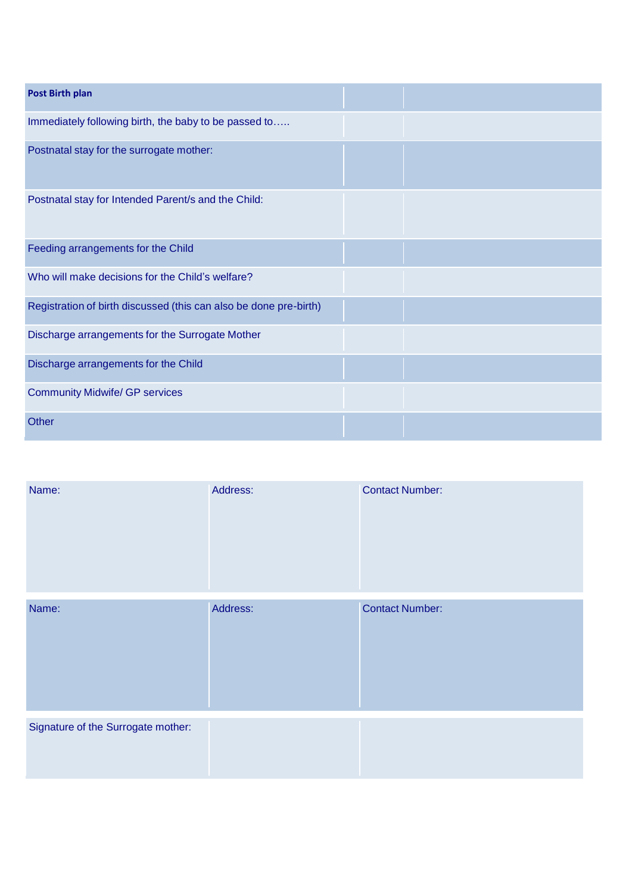| <b>Post Birth plan</b>                                            |  |
|-------------------------------------------------------------------|--|
| Immediately following birth, the baby to be passed to             |  |
| Postnatal stay for the surrogate mother:                          |  |
| Postnatal stay for Intended Parent/s and the Child:               |  |
| Feeding arrangements for the Child                                |  |
| Who will make decisions for the Child's welfare?                  |  |
| Registration of birth discussed (this can also be done pre-birth) |  |
| Discharge arrangements for the Surrogate Mother                   |  |
| Discharge arrangements for the Child                              |  |
| <b>Community Midwife/ GP services</b>                             |  |
| Other                                                             |  |

| Name:                              | Address: | <b>Contact Number:</b> |
|------------------------------------|----------|------------------------|
| Name:                              | Address: | <b>Contact Number:</b> |
| Signature of the Surrogate mother: |          |                        |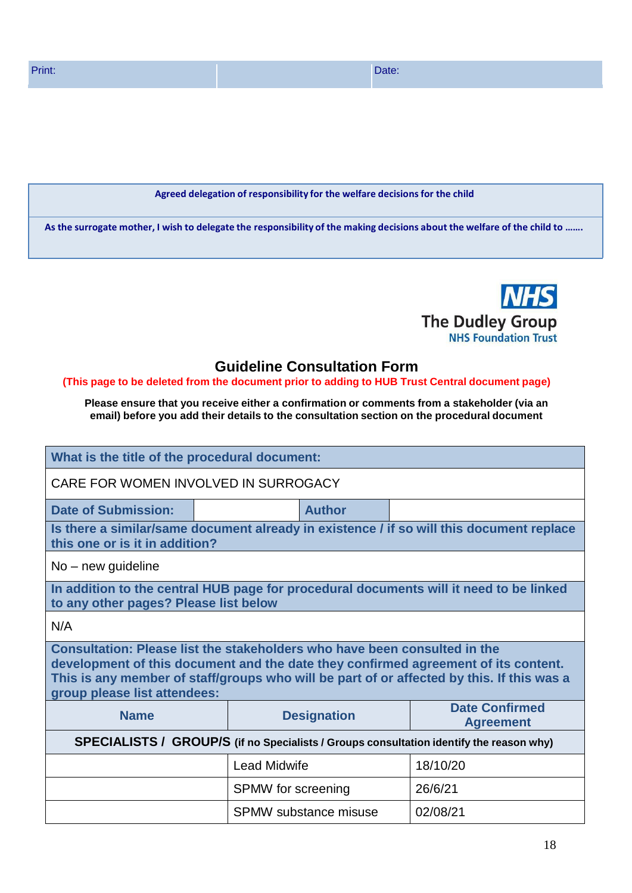#### **Agreed delegation of responsibility for the welfare decisionsfor the child**

As the surrogate mother, I wish to delegate the responsibility of the making decisions about the welfare of the child to .......



### **Guideline Consultation Form**

#### **(This page to be deleted from the document prior to adding to HUB Trust Central document page)**

**Please ensure that you receive either a confirmation or comments from a stakeholder (via an email) before you add their details to the consultation section on the procedural document**

| What is the title of the procedural document:                                                                                                                                                                                                                                                |                     |                    |                                                                                          |  |
|----------------------------------------------------------------------------------------------------------------------------------------------------------------------------------------------------------------------------------------------------------------------------------------------|---------------------|--------------------|------------------------------------------------------------------------------------------|--|
| CARE FOR WOMEN INVOLVED IN SURROGACY                                                                                                                                                                                                                                                         |                     |                    |                                                                                          |  |
| <b>Date of Submission:</b>                                                                                                                                                                                                                                                                   |                     | <b>Author</b>      |                                                                                          |  |
| this one or is it in addition?                                                                                                                                                                                                                                                               |                     |                    | Is there a similar/same document already in existence / if so will this document replace |  |
| $No$ – new guideline                                                                                                                                                                                                                                                                         |                     |                    |                                                                                          |  |
| to any other pages? Please list below                                                                                                                                                                                                                                                        |                     |                    | In addition to the central HUB page for procedural documents will it need to be linked   |  |
| N/A                                                                                                                                                                                                                                                                                          |                     |                    |                                                                                          |  |
| Consultation: Please list the stakeholders who have been consulted in the<br>development of this document and the date they confirmed agreement of its content.<br>This is any member of staff/groups who will be part of or affected by this. If this was a<br>group please list attendees: |                     |                    |                                                                                          |  |
| <b>Name</b>                                                                                                                                                                                                                                                                                  |                     | <b>Designation</b> | <b>Date Confirmed</b><br><b>Agreement</b>                                                |  |
| SPECIALISTS / GROUP/S (if no Specialists / Groups consultation identify the reason why)                                                                                                                                                                                                      |                     |                    |                                                                                          |  |
|                                                                                                                                                                                                                                                                                              | <b>Lead Midwife</b> |                    | 18/10/20                                                                                 |  |
| 26/6/21<br><b>SPMW</b> for screening                                                                                                                                                                                                                                                         |                     |                    |                                                                                          |  |
| SPMW substance misuse<br>02/08/21                                                                                                                                                                                                                                                            |                     |                    |                                                                                          |  |
|                                                                                                                                                                                                                                                                                              |                     |                    |                                                                                          |  |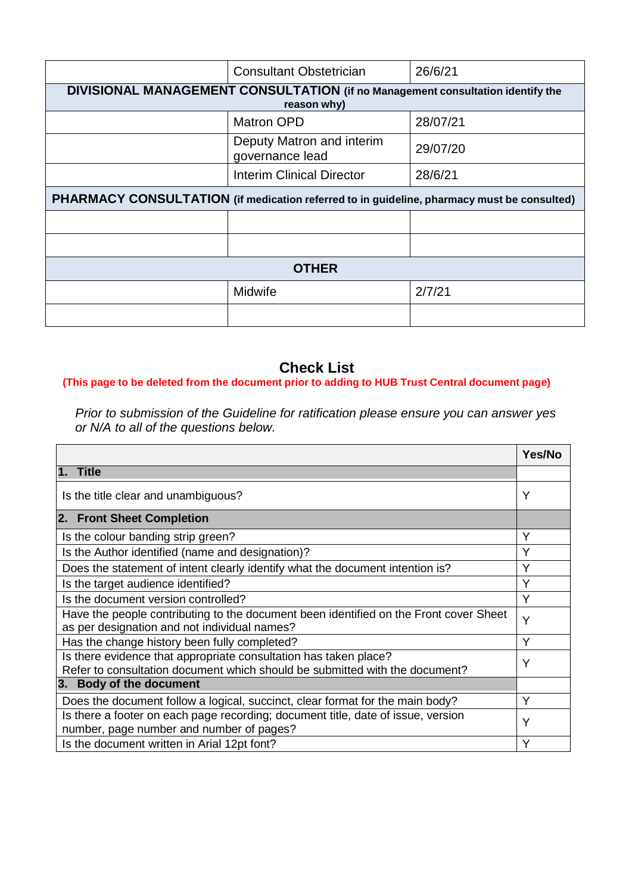| <b>Consultant Obstetrician</b>                                                                | 26/6/21  |  |  |  |
|-----------------------------------------------------------------------------------------------|----------|--|--|--|
| DIVISIONAL MANAGEMENT CONSULTATION (if no Management consultation identify the<br>reason why) |          |  |  |  |
| <b>Matron OPD</b>                                                                             | 28/07/21 |  |  |  |
| Deputy Matron and interim<br>governance lead                                                  | 29/07/20 |  |  |  |
| <b>Interim Clinical Director</b>                                                              | 28/6/21  |  |  |  |
| PHARMACY CONSULTATION (if medication referred to in guideline, pharmacy must be consulted)    |          |  |  |  |
|                                                                                               |          |  |  |  |
|                                                                                               |          |  |  |  |
| <b>OTHER</b>                                                                                  |          |  |  |  |
| Midwife                                                                                       | 2/7/21   |  |  |  |
|                                                                                               |          |  |  |  |
|                                                                                               |          |  |  |  |

### **Check List**

### **(This page to be deleted from the document prior to adding to HUB Trust Central document page)**

*Prior to submission of the Guideline for ratification please ensure you can answer yes or N/A to all of the questions below.*

|                                                                                                                                                 | Yes/No |
|-------------------------------------------------------------------------------------------------------------------------------------------------|--------|
| 1. Title                                                                                                                                        |        |
| Is the title clear and unambiguous?                                                                                                             | Y      |
| 2. Front Sheet Completion                                                                                                                       |        |
| Is the colour banding strip green?                                                                                                              | Y      |
| Is the Author identified (name and designation)?                                                                                                | Y      |
| Does the statement of intent clearly identify what the document intention is?                                                                   | Υ      |
| Is the target audience identified?                                                                                                              | Y      |
| Is the document version controlled?                                                                                                             | Υ      |
| Have the people contributing to the document been identified on the Front cover Sheet<br>as per designation and not individual names?           | Y      |
| Has the change history been fully completed?                                                                                                    | Υ      |
| Is there evidence that appropriate consultation has taken place?<br>Refer to consultation document which should be submitted with the document? | Y      |
| 3. Body of the document                                                                                                                         |        |
| Does the document follow a logical, succinct, clear format for the main body?                                                                   | Y      |
| Is there a footer on each page recording; document title, date of issue, version<br>number, page number and number of pages?                    | Y      |
| Is the document written in Arial 12pt font?                                                                                                     | Υ      |